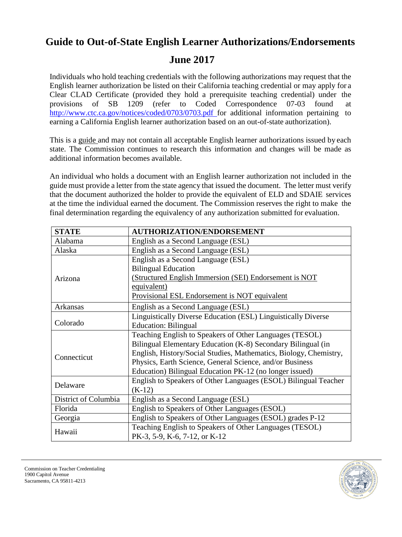## **Guide to Out-of-State English Learner Authorizations/Endorsements**

## **June 2017**

Individuals who hold teaching credentials with the following authorizations may request that the English learner authorization be listed on their California teaching credential or may apply for a Clear CLAD Certificate (provided they hold a prerequisite teaching credential) under the provisions of SB 1209 (refer to Coded Correspondence 07-03 found at [http://www.ctc.ca.gov/notices/coded/0703/0703.pdf f](http://www.ctc.ca.gov/notices/coded/0703/0703.pdf)or additional information pertaining to earning a California English learner authorization based on an out-of-state authorization).

This is a guide and may not contain all acceptable English learner authorizations issued by each state. The Commission continues to research this information and changes will be made as additional information becomes available.

An individual who holds a document with an English learner authorization not included in the guide must provide a letter from the state agency that issued the document. The letter must verify that the document authorized the holder to provide the equivalent of ELD and SDAIE services at the time the individual earned the document. The Commission reserves the right to make the final determination regarding the equivalency of any authorization submitted for evaluation.

| <b>STATE</b>         | <b>AUTHORIZATION/ENDORSEMENT</b>                                     |
|----------------------|----------------------------------------------------------------------|
| Alabama              | English as a Second Language (ESL)                                   |
| Alaska               | English as a Second Language (ESL)                                   |
| Arizona              | English as a Second Language (ESL)                                   |
|                      | <b>Bilingual Education</b>                                           |
|                      | (Structured English Immersion (SEI) Endorsement is NOT               |
|                      | equivalent)                                                          |
|                      | Provisional ESL Endorsement is NOT equivalent                        |
| Arkansas             | English as a Second Language (ESL)                                   |
| Colorado             | <b>Linguistically Diverse Education (ESL) Linguistically Diverse</b> |
|                      | <b>Education: Bilingual</b>                                          |
|                      | Teaching English to Speakers of Other Languages (TESOL)              |
| Connecticut          | Bilingual Elementary Education (K-8) Secondary Bilingual (in         |
|                      | English, History/Social Studies, Mathematics, Biology, Chemistry,    |
|                      | Physics, Earth Science, General Science, and/or Business             |
|                      | Education) Bilingual Education PK-12 (no longer issued)              |
| Delaware             | English to Speakers of Other Languages (ESOL) Bilingual Teacher      |
|                      | $(K-12)$                                                             |
| District of Columbia | English as a Second Language (ESL)                                   |
| Florida              | English to Speakers of Other Languages (ESOL)                        |
| Georgia              | English to Speakers of Other Languages (ESOL) grades P-12            |
| Hawaii               | Teaching English to Speakers of Other Languages (TESOL)              |
|                      | PK-3, 5-9, K-6, 7-12, or K-12                                        |

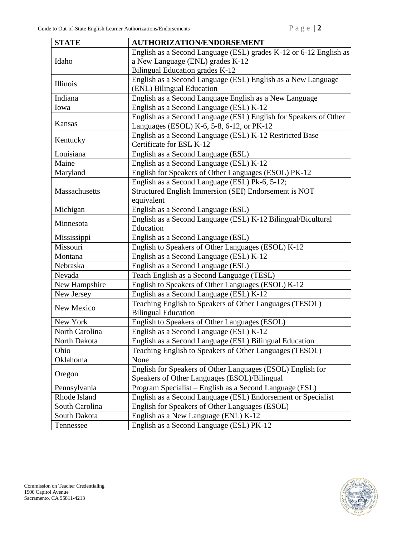| <b>STATE</b>   | <b>AUTHORIZATION/ENDORSEMENT</b>                                  |
|----------------|-------------------------------------------------------------------|
| Idaho          | English as a Second Language (ESL) grades K-12 or 6-12 English as |
|                | a New Language (ENL) grades K-12                                  |
|                | Bilingual Education grades K-12                                   |
| Illinois       | English as a Second Language (ESL) English as a New Language      |
|                | (ENL) Bilingual Education                                         |
| Indiana        | English as a Second Language English as a New Language            |
| Iowa           | English as a Second Language (ESL) K-12                           |
| Kansas         | English as a Second Language (ESL) English for Speakers of Other  |
|                | Languages (ESOL) K-6, 5-8, 6-12, or PK-12                         |
| Kentucky       | English as a Second Language (ESL) K-12 Restricted Base           |
|                | Certificate for ESL K-12                                          |
| Louisiana      | English as a Second Language (ESL)                                |
| Maine          | English as a Second Language (ESL) K-12                           |
| Maryland       | English for Speakers of Other Languages (ESOL) PK-12              |
|                | English as a Second Language (ESL) Pk-6, 5-12;                    |
| Massachusetts  | Structured English Immersion (SEI) Endorsement is NOT             |
|                | equivalent                                                        |
| Michigan       | English as a Second Language (ESL)                                |
| Minnesota      | English as a Second Language (ESL) K-12 Bilingual/Bicultural      |
|                | Education                                                         |
| Mississippi    | English as a Second Language (ESL)                                |
| Missouri       | English to Speakers of Other Languages (ESOL) K-12                |
| Montana        | English as a Second Language (ESL) K-12                           |
| Nebraska       | English as a Second Language (ESL)                                |
| Nevada         | Teach English as a Second Language (TESL)                         |
| New Hampshire  | English to Speakers of Other Languages (ESOL) K-12                |
| New Jersey     | English as a Second Language (ESL) K-12                           |
| New Mexico     | Teaching English to Speakers of Other Languages (TESOL)           |
|                | <b>Bilingual Education</b>                                        |
| New York       | English to Speakers of Other Languages (ESOL)                     |
| North Carolina | English as a Second Language (ESL) K-12                           |
| North Dakota   | English as a Second Language (ESL) Bilingual Education            |
| Ohio           | Teaching English to Speakers of Other Languages (TESOL)           |
| Oklahoma       | None                                                              |
| Oregon         | English for Speakers of Other Languages (ESOL) English for        |
|                | Speakers of Other Languages (ESOL)/Bilingual                      |
| Pennsylvania   | Program Specialist - English as a Second Language (ESL)           |
| Rhode Island   | English as a Second Language (ESL) Endorsement or Specialist      |
| South Carolina | English for Speakers of Other Languages (ESOL)                    |
| South Dakota   | English as a New Language (ENL) K-12                              |
| Tennessee      | English as a Second Language (ESL) PK-12                          |